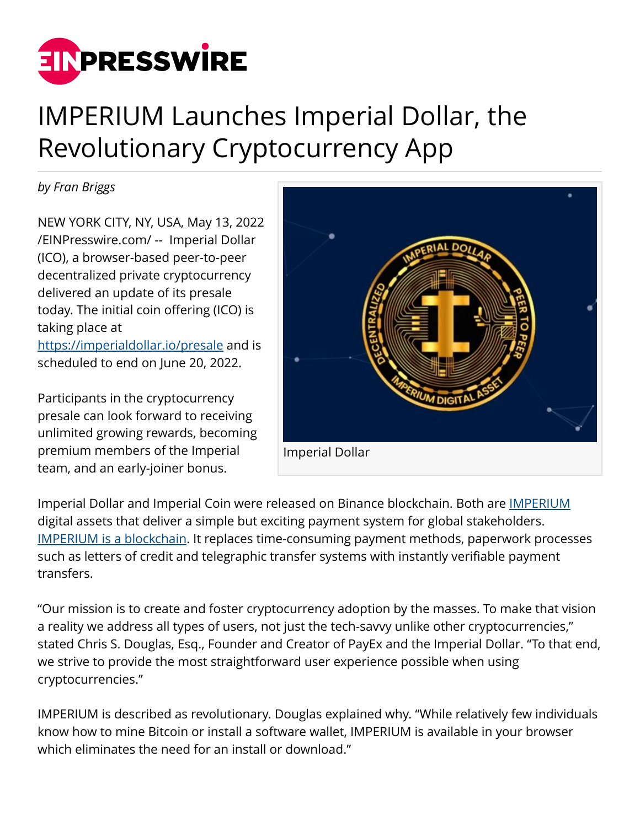

# IMPERIUM Launches Imperial Dollar, the Revolutionary Cryptocurrency App

*by Fran Briggs*

NEW YORK CITY, NY, USA, May 13, 2022 [/EINPresswire.com/](http://www.einpresswire.com) -- Imperial Dollar (ICO), a browser-based peer-to-peer decentralized private cryptocurrency delivered an update of its presale today. The initial coin offering (ICO) is taking place at

<https://imperialdollar.io/presale>and is scheduled to end on June 20, 2022.

Participants in the cryptocurrency presale can look forward to receiving unlimited growing rewards, becoming premium members of the Imperial team, and an early-joiner bonus.



Imperial Dollar and Imperial Coin were released on Binance blockchain. Both are **IMPERIUM** digital assets that deliver a simple but exciting payment system for global stakeholders. [IMPERIUM is a blockchain.](https://imperialdollar.io/presale) It replaces time-consuming payment methods, paperwork processes such as letters of credit and telegraphic transfer systems with instantly verifiable payment transfers.

"Our mission is to create and foster cryptocurrency adoption by the masses. To make that vision a reality we address all types of users, not just the tech-savvy unlike other cryptocurrencies," stated Chris S. Douglas, Esq., Founder and Creator of PayEx and the Imperial Dollar. "To that end, we strive to provide the most straightforward user experience possible when using cryptocurrencies."

IMPERIUM is described as revolutionary. Douglas explained why. "While relatively few individuals know how to mine Bitcoin or install a software wallet, IMPERIUM is available in your browser which eliminates the need for an install or download."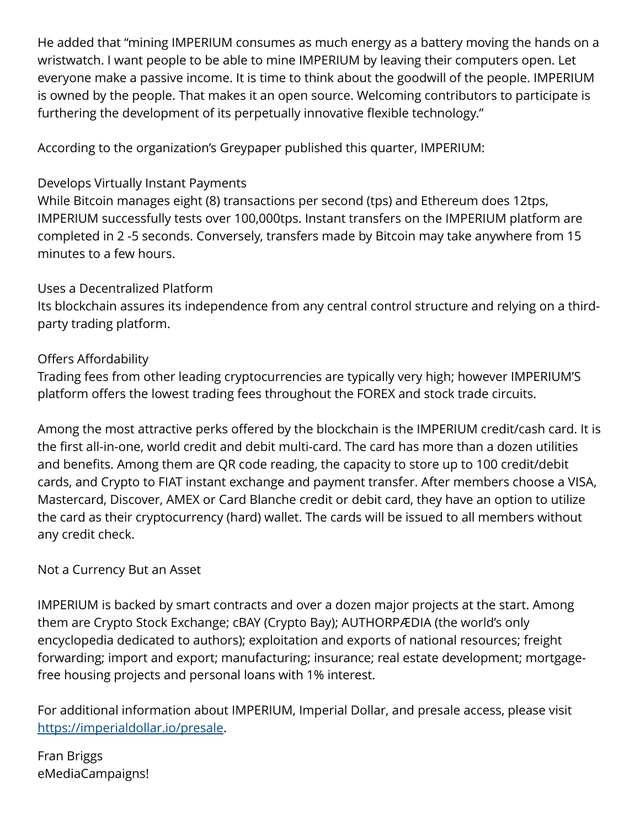He added that "mining IMPERIUM consumes as much energy as a battery moving the hands on a wristwatch. I want people to be able to mine IMPERIUM by leaving their computers open. Let everyone make a passive income. It is time to think about the goodwill of the people. IMPERIUM is owned by the people. That makes it an open source. Welcoming contributors to participate is furthering the development of its perpetually innovative flexible technology."

According to the organization's Greypaper published this quarter, IMPERIUM:

### Develops Virtually Instant Payments

While Bitcoin manages eight (8) transactions per second (tps) and Ethereum does 12tps, IMPERIUM successfully tests over 100,000tps. Instant transfers on the IMPERIUM platform are completed in 2 -5 seconds. Conversely, transfers made by Bitcoin may take anywhere from 15 minutes to a few hours.

#### Uses a Decentralized Platform

Its blockchain assures its independence from any central control structure and relying on a thirdparty trading platform.

## Offers Affordability

Trading fees from other leading cryptocurrencies are typically very high; however IMPERIUM'S platform offers the lowest trading fees throughout the FOREX and stock trade circuits.

Among the most attractive perks offered by the blockchain is the IMPERIUM credit/cash card. It is the first all-in-one, world credit and debit multi-card. The card has more than a dozen utilities and benefits. Among them are QR code reading, the capacity to store up to 100 credit/debit cards, and Crypto to FIAT instant exchange and payment transfer. After members choose a VISA, Mastercard, Discover, AMEX or Card Blanche credit or debit card, they have an option to utilize the card as their cryptocurrency (hard) wallet. The cards will be issued to all members without any credit check.

#### Not a Currency But an Asset

IMPERIUM is backed by smart contracts and over a dozen major projects at the start. Among them are Crypto Stock Exchange; cBAY (Crypto Bay); AUTHORPÆDIA (the world's only encyclopedia dedicated to authors); exploitation and exports of national resources; freight forwarding; import and export; manufacturing; insurance; real estate development; mortgagefree housing projects and personal loans with 1% interest.

For additional information about IMPERIUM, Imperial Dollar, and presale access, please visit [https://imperialdollar.io/presale.](https://imperialdollar.io/presale)

Fran Briggs eMediaCampaigns!